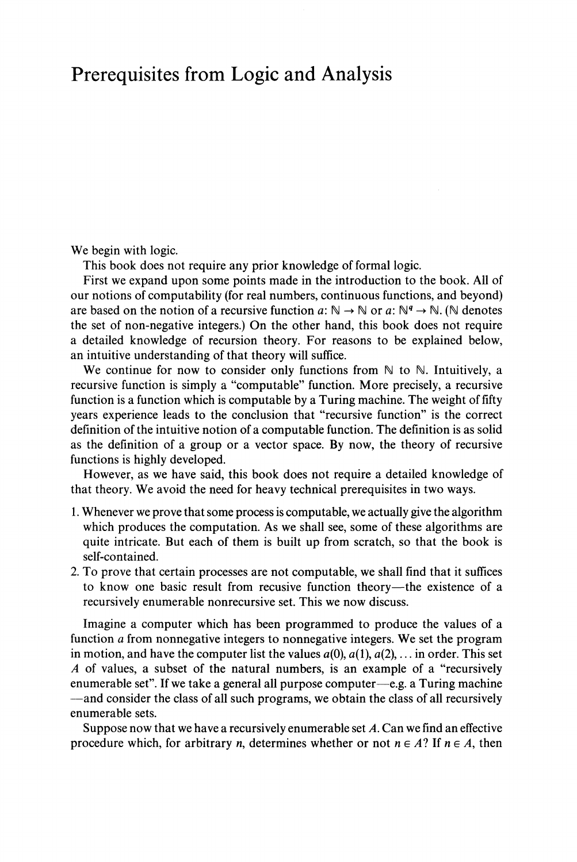## Prerequisites from Logic and Analysis

We begin with logic.

This book does not require any prior knowledge of formal logic.

First we expand upon some points made in the introduction to the book. All of our notions of computability (for real numbers, continuous functions, and beyond) are based on the notion of a recursive function  $a: \mathbb{N} \to \mathbb{N}$  or  $a: \mathbb{N}^q \to \mathbb{N}$ . (N denotes the set of non-negative integers.) On the other hand, this book does not require a detailed knowledge of recursion theory. For reasons to be explained below, an intuitive understanding of that theory will suffice.

We continue for now to consider only functions from  $\mathbb N$  to  $\mathbb N$ . Intuitively, a recursive function is simply a "computable" function. More precisely, a recursive function is a function which is computable by a Turing machine. The weight of fifty years experience leads to the conclusion that "recursive function" is the correct definition of the intuitive notion of a computable function. The definition is as solid as the definition of a group or a vector space. By now, the theory of recursive functions is highly developed.

However, as we have said, this book does not require a detailed knowledge of that theory. We avoid the need for heavy technical prerequisites in two ways.

- 1. Whenever we prove that some process is computable, we actually give the algorithm which produces the computation. As we shall see, some of these algorithms are quite intricate. But each of them is built up from scratch, so that the book is self-contained.
- 2. To prove that certain processes are not computable, we shall find that it suffices to know one basic result from recusive function theory—the existence of a recursively enumerable nonrecursive set. This we now discuss.

Imagine a computer which has been programmed to produce the values of a function *a* from nonnegative integers to nonnegative integers. We set the program in motion, and have the computer list the values  $a(0)$ ,  $a(1)$ ,  $a(2)$ , ... in order. This set *A* of values, a subset of the natural numbers, is an example of a "recursively enumerable set". If we take a general all purpose computer—e.g. a Turing machine —and consider the class of all such programs, we obtain the class of all recursively enumerable sets.

Suppose now that we have a recursively enumerable set *A.* Can we find an effective procedure which, for arbitrary *n*, determines whether or not  $n \in A$ ? If  $n \in A$ , then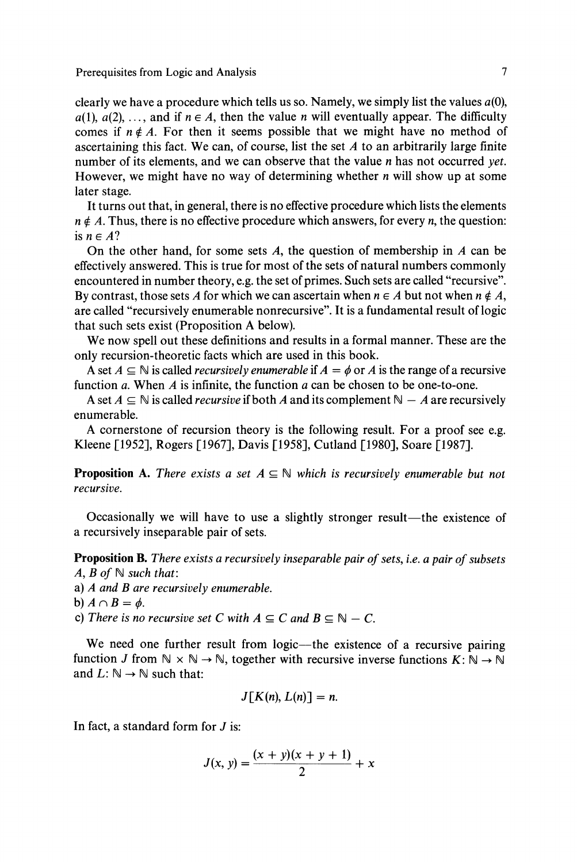clearly we have a procedure which tells us so. Namely, we simply list the values  $a(0)$ ,  $a(1), a(2), \ldots$ , and if  $n \in A$ , then the value *n* will eventually appear. The difficulty comes if  $n \notin A$ . For then it seems possible that we might have no method of ascertaining this fact. We can, of course, list the set *A* to an arbitrarily large finite number of its elements, and we can observe that the value *n* has not occurred *yet.* However, we might have no way of determining whether *n* will show up at some later stage.

It turns out that, in general, there is no effective procedure which lists the elements  $n \notin A$ . Thus, there is no effective procedure which answers, for every *n*, the question: is *n e AΊ*

On the other hand, for some sets *A,* the question of membership in *A* can be effectively answered. This is true for most of the sets of natural numbers commonly encountered in number theory, e.g. the set of primes. Such sets are called "recursive". By contrast, those sets A for which we can ascertain when  $n \in A$  but not when  $n \notin A$ , are called "recursively enumerable nonrecursive". It is a fundamental result of logic that such sets exist (Proposition A below).

We now spell out these definitions and results in a formal manner. These are the only recursion-theoretic facts which are used in this book.

A set  $A \subseteq \mathbb{N}$  is called *recursively enumerable* if  $A = \phi$  or A is the range of a recursive function *a.* When *A* is infinite, the function *a* can be chosen to be one-to-one.

A set  $A \subseteq \mathbb{N}$  is called *recursive* if both A and its complement  $\mathbb{N} - A$  are recursively enumerable.

A cornerstone of recursion theory is the following result. For a proof see e.g. Kleene [1952], Rogers [1967], Davis [1958], Cutland [1980], Soare [1987].

**Proposition A.** There exists a set  $A \subseteq \mathbb{N}$  which is recursively enumerable but not *recursive.*

Occasionally we will have to use a slightly stronger result—the existence of a recursively inseparable pair of sets.

**Proposition B.** *There exists a recursively inseparable pair of sets, i.e. a pair of subsets*  $A, B$  of  $\mathbb{N}$  such that:

a) *A and B are recursively enumerable.*

b)  $A \cap B = \phi$ .

c) There is no recursive set C with  $A \subseteq C$  and  $B \subseteq N - C$ .

We need one further result from logic—the existence of a recursive pairing function *J* from  $\mathbb{N} \times \mathbb{N} \to \mathbb{N}$ , together with recursive inverse functions  $K: \mathbb{N} \to \mathbb{N}$ and  $L: \mathbb{N} \to \mathbb{N}$  such that:

$$
J[K(n), L(n)] = n.
$$

In fact, a standard form for *J* is:

$$
J(x, y) = \frac{(x + y)(x + y + 1)}{2} + x
$$